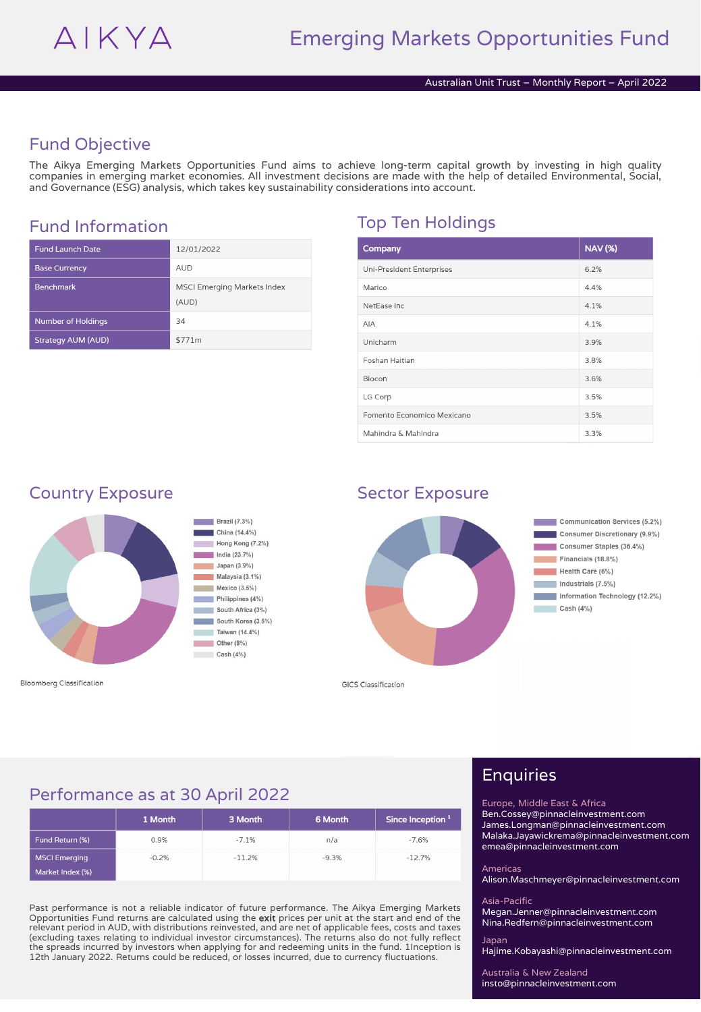## Fund Objective

The Aikya Emerging Markets Opportunities Fund aims to achieve long-term capital growth by investing in high quality companies in emerging market economies. All investment decisions are made with the help of detailed Environmental, Social, and Governance (ESG) analysis, which takes key sustainability considerations into account.

| <b>Fund Launch Date</b>   | 12/01/2022                                  |
|---------------------------|---------------------------------------------|
| <b>Base Currency</b>      | <b>AUD</b>                                  |
| <b>Benchmark</b>          | <b>MSCI Emerging Markets Index</b><br>(AUD) |
| <b>Number of Holdings</b> | 34                                          |
| <b>Strategy AUM (AUD)</b> | \$771m                                      |

# Fund Information Top Ten Holdings

| Company                    | <b>NAV (%)</b> |
|----------------------------|----------------|
| Uni-President Enterprises  | 6.2%           |
| Marico                     | 4.4%           |
| NetEase Inc.               | 4.1%           |
| <b>AIA</b>                 | 4.1%           |
| Unicharm                   | 3.9%           |
| Foshan Haitian             | 3.8%           |
| Biocon                     | 3.6%           |
| LG Corp                    | 3.5%           |
| Fomento Economico Mexicano | 3.5%           |
| Mahindra & Mahindra        | 3.3%           |

### Country Exposure Sector Exposure



**Bloomberg Classification** 



**GICS Classification** 

### Performance as at 30 April 2022

|                                          | 1 Month | 3 Month  | 6 Month | Since Inception 1 |
|------------------------------------------|---------|----------|---------|-------------------|
| Fund Return (%)                          | 0.9%    | $-7.1%$  | n/a     | $-7.6%$           |
| <b>MSCI Emerging</b><br>Market Index (%) | $-0.2%$ | $-11.2%$ | $-9.3%$ | $-12.7%$          |

Past performance is not a reliable indicator of future performance. The Aikya Emerging Markets Opportunities Fund returns are calculated using the exit prices per unit at the start and end of the relevant period in AUD, with distributions reinvested, and are net of applicable fees, costs and taxes (excluding taxes relating to individual investor circumstances). The returns also do not fully reflect the spreads incurred by investors when applying for and redeeming units in the fund. 1Inception is 12th January 2022. Returns could be reduced, or losses incurred, due to currency fluctuations.

# Enquiries

Europe, Middle East & Africa Ben.Cossey@pinnacleinvestment.com James.Longman@pinnacleinvestment.com Malaka.Jayawickrema@pinnacleinvestment.com

emea@pinnacleinvestment.com Americas

Alison.Maschmeyer@pinnacleinvestment.com

### Asia-Pacific

Megan.Jenner@pinnacleinvestment.com Nina.Redfern@pinnacleinvestment.com

Japan Hajime.Kobayashi@pinnacleinvestment.com

Australia & New Zealand insto@pinnacleinvestment.com